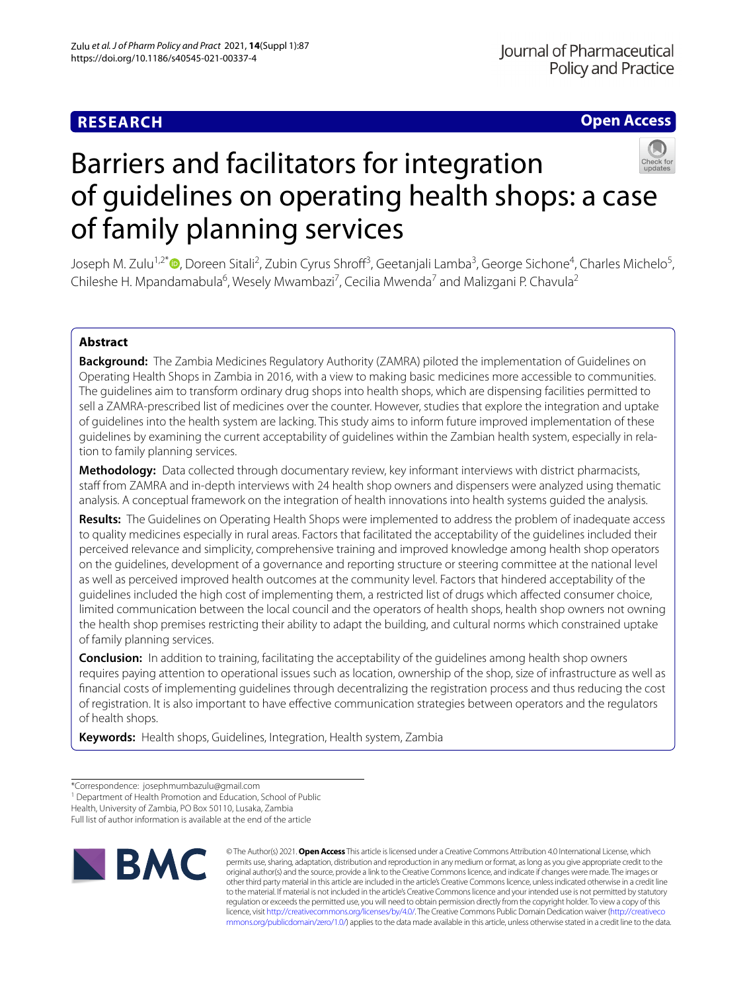# **RESEARCH**

**Open Access**

# Barriers and facilitators for integration of guidelines on operating health shops: a case of family planning services

Joseph M. Zulu<sup>1[,](http://orcid.org/0000-0003-1480-4977)2\*</sup>®, Doreen Sitali<sup>2</sup>, Zubin Cyrus Shroff<sup>3</sup>, Geetanjali Lamba<sup>3</sup>, George Sichone<sup>4</sup>, Charles Michelo<sup>5</sup>, Chileshe H. Mpandamabula<sup>6</sup>, Wesely Mwambazi<sup>7</sup>, Cecilia Mwenda<sup>7</sup> and Malizgani P. Chavula<sup>2</sup>

# **Abstract**

**Background:** The Zambia Medicines Regulatory Authority (ZAMRA) piloted the implementation of Guidelines on Operating Health Shops in Zambia in 2016, with a view to making basic medicines more accessible to communities. The guidelines aim to transform ordinary drug shops into health shops, which are dispensing facilities permitted to sell a ZAMRA-prescribed list of medicines over the counter. However, studies that explore the integration and uptake of guidelines into the health system are lacking. This study aims to inform future improved implementation of these guidelines by examining the current acceptability of guidelines within the Zambian health system, especially in relation to family planning services.

**Methodology:** Data collected through documentary review, key informant interviews with district pharmacists, staff from ZAMRA and in-depth interviews with 24 health shop owners and dispensers were analyzed using thematic analysis. A conceptual framework on the integration of health innovations into health systems guided the analysis.

**Results:** The Guidelines on Operating Health Shops were implemented to address the problem of inadequate access to quality medicines especially in rural areas. Factors that facilitated the acceptability of the guidelines included their perceived relevance and simplicity, comprehensive training and improved knowledge among health shop operators on the guidelines, development of a governance and reporting structure or steering committee at the national level as well as perceived improved health outcomes at the community level. Factors that hindered acceptability of the guidelines included the high cost of implementing them, a restricted list of drugs which afected consumer choice, limited communication between the local council and the operators of health shops, health shop owners not owning the health shop premises restricting their ability to adapt the building, and cultural norms which constrained uptake of family planning services.

**Conclusion:** In addition to training, facilitating the acceptability of the guidelines among health shop owners requires paying attention to operational issues such as location, ownership of the shop, size of infrastructure as well as fnancial costs of implementing guidelines through decentralizing the registration process and thus reducing the cost of registration. It is also important to have efective communication strategies between operators and the regulators of health shops.

**Keywords:** Health shops, Guidelines, Integration, Health system, Zambia

<sup>1</sup> Department of Health Promotion and Education, School of Public

Health, University of Zambia, PO Box 50110, Lusaka, Zambia

Full list of author information is available at the end of the article



© The Author(s) 2021. **Open Access** This article is licensed under a Creative Commons Attribution 4.0 International License, which permits use, sharing, adaptation, distribution and reproduction in any medium or format, as long as you give appropriate credit to the original author(s) and the source, provide a link to the Creative Commons licence, and indicate if changes were made. The images or other third party material in this article are included in the article's Creative Commons licence, unless indicated otherwise in a credit line to the material. If material is not included in the article's Creative Commons licence and your intended use is not permitted by statutory regulation or exceeds the permitted use, you will need to obtain permission directly from the copyright holder. To view a copy of this licence, visit [http://creativecommons.org/licenses/by/4.0/.](http://creativecommons.org/licenses/by/4.0/) The Creative Commons Public Domain Dedication waiver ([http://creativeco](http://creativecommons.org/publicdomain/zero/1.0/) [mmons.org/publicdomain/zero/1.0/](http://creativecommons.org/publicdomain/zero/1.0/)) applies to the data made available in this article, unless otherwise stated in a credit line to the data.

<sup>\*</sup>Correspondence: josephmumbazulu@gmail.com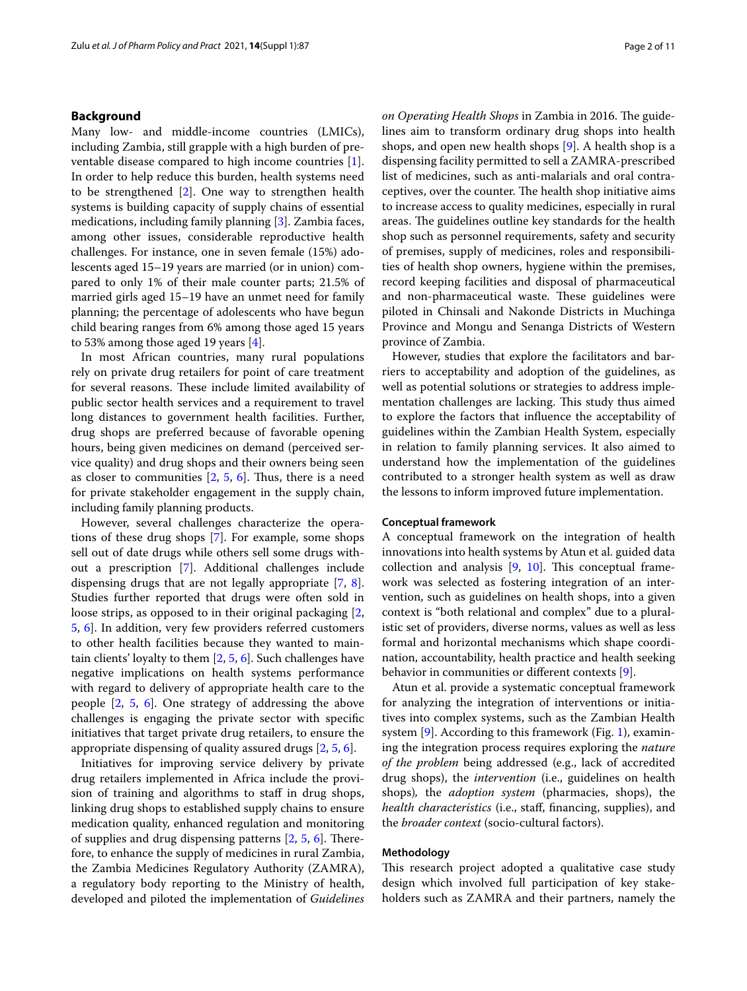# **Background**

Many low- and middle-income countries (LMICs), including Zambia, still grapple with a high burden of preventable disease compared to high income countries [\[1](#page-9-0)]. In order to help reduce this burden, health systems need to be strengthened [[2\]](#page-9-1). One way to strengthen health systems is building capacity of supply chains of essential medications, including family planning [\[3](#page-9-2)]. Zambia faces, among other issues, considerable reproductive health challenges. For instance, one in seven female (15%) adolescents aged 15–19 years are married (or in union) compared to only 1% of their male counter parts; 21.5% of married girls aged 15–19 have an unmet need for family planning; the percentage of adolescents who have begun child bearing ranges from 6% among those aged 15 years to 53% among those aged 19 years [\[4\]](#page-9-3).

In most African countries, many rural populations rely on private drug retailers for point of care treatment for several reasons. These include limited availability of public sector health services and a requirement to travel long distances to government health facilities. Further, drug shops are preferred because of favorable opening hours, being given medicines on demand (perceived service quality) and drug shops and their owners being seen as closer to communities  $[2, 5, 6]$  $[2, 5, 6]$  $[2, 5, 6]$  $[2, 5, 6]$  $[2, 5, 6]$  $[2, 5, 6]$ . Thus, there is a need for private stakeholder engagement in the supply chain, including family planning products.

However, several challenges characterize the operations of these drug shops [\[7](#page-9-6)]. For example, some shops sell out of date drugs while others sell some drugs without a prescription [\[7](#page-9-6)]. Additional challenges include dispensing drugs that are not legally appropriate [\[7](#page-9-6), [8](#page-9-7)]. Studies further reported that drugs were often sold in loose strips, as opposed to in their original packaging [\[2](#page-9-1), [5,](#page-9-4) [6\]](#page-9-5). In addition, very few providers referred customers to other health facilities because they wanted to maintain clients' loyalty to them [[2,](#page-9-1) [5](#page-9-4), [6\]](#page-9-5). Such challenges have negative implications on health systems performance with regard to delivery of appropriate health care to the people [[2,](#page-9-1) [5](#page-9-4), [6\]](#page-9-5). One strategy of addressing the above challenges is engaging the private sector with specifc initiatives that target private drug retailers, to ensure the appropriate dispensing of quality assured drugs [\[2](#page-9-1), [5](#page-9-4), [6\]](#page-9-5).

Initiatives for improving service delivery by private drug retailers implemented in Africa include the provision of training and algorithms to staff in drug shops, linking drug shops to established supply chains to ensure medication quality, enhanced regulation and monitoring of supplies and drug dispensing patterns  $[2, 5, 6]$  $[2, 5, 6]$  $[2, 5, 6]$  $[2, 5, 6]$  $[2, 5, 6]$  $[2, 5, 6]$ . Therefore, to enhance the supply of medicines in rural Zambia, the Zambia Medicines Regulatory Authority (ZAMRA), a regulatory body reporting to the Ministry of health, developed and piloted the implementation of *Guidelines*  on Operating Health Shops in Zambia in 2016. The guidelines aim to transform ordinary drug shops into health shops, and open new health shops [[9\]](#page-9-8). A health shop is a dispensing facility permitted to sell a ZAMRA-prescribed list of medicines, such as anti-malarials and oral contraceptives, over the counter. The health shop initiative aims to increase access to quality medicines, especially in rural areas. The guidelines outline key standards for the health shop such as personnel requirements, safety and security of premises, supply of medicines, roles and responsibilities of health shop owners, hygiene within the premises, record keeping facilities and disposal of pharmaceutical and non-pharmaceutical waste. These guidelines were piloted in Chinsali and Nakonde Districts in Muchinga Province and Mongu and Senanga Districts of Western province of Zambia.

However, studies that explore the facilitators and barriers to acceptability and adoption of the guidelines, as well as potential solutions or strategies to address implementation challenges are lacking. This study thus aimed to explore the factors that infuence the acceptability of guidelines within the Zambian Health System, especially in relation to family planning services. It also aimed to understand how the implementation of the guidelines contributed to a stronger health system as well as draw the lessons to inform improved future implementation.

## **Conceptual framework**

A conceptual framework on the integration of health innovations into health systems by Atun et al. guided data collection and analysis  $[9, 10]$  $[9, 10]$  $[9, 10]$  $[9, 10]$  $[9, 10]$ . This conceptual framework was selected as fostering integration of an intervention, such as guidelines on health shops, into a given context is "both relational and complex" due to a pluralistic set of providers, diverse norms, values as well as less formal and horizontal mechanisms which shape coordination, accountability, health practice and health seeking behavior in communities or diferent contexts [[9\]](#page-9-8).

Atun et al. provide a systematic conceptual framework for analyzing the integration of interventions or initiatives into complex systems, such as the Zambian Health system [\[9](#page-9-8)]. According to this framework (Fig. [1](#page-2-0)), examining the integration process requires exploring the *nature of the problem* being addressed (e.g., lack of accredited drug shops), the *intervention* (i.e., guidelines on health shops)*,* the *adoption system* (pharmacies, shops), the *health characteristics* (i.e., staf, fnancing, supplies), and the *broader context* (socio-cultural factors).

# **Methodology**

This research project adopted a qualitative case study design which involved full participation of key stakeholders such as ZAMRA and their partners, namely the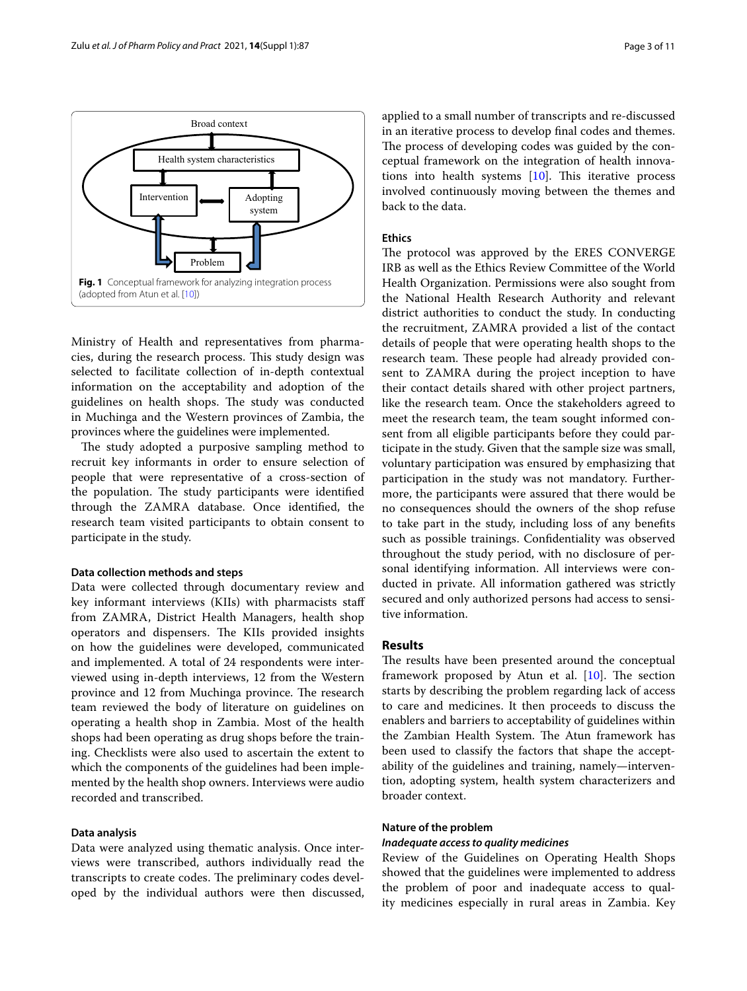

<span id="page-2-0"></span>Ministry of Health and representatives from pharmacies, during the research process. This study design was selected to facilitate collection of in-depth contextual information on the acceptability and adoption of the guidelines on health shops. The study was conducted in Muchinga and the Western provinces of Zambia, the provinces where the guidelines were implemented.

The study adopted a purposive sampling method to recruit key informants in order to ensure selection of people that were representative of a cross-section of the population. The study participants were identified through the ZAMRA database. Once identifed, the research team visited participants to obtain consent to participate in the study.

## **Data collection methods and steps**

Data were collected through documentary review and key informant interviews (KIIs) with pharmacists staf from ZAMRA, District Health Managers, health shop operators and dispensers. The KIIs provided insights on how the guidelines were developed, communicated and implemented. A total of 24 respondents were interviewed using in-depth interviews, 12 from the Western province and 12 from Muchinga province. The research team reviewed the body of literature on guidelines on operating a health shop in Zambia. Most of the health shops had been operating as drug shops before the training. Checklists were also used to ascertain the extent to which the components of the guidelines had been implemented by the health shop owners. Interviews were audio recorded and transcribed.

# **Data analysis**

Data were analyzed using thematic analysis. Once interviews were transcribed, authors individually read the transcripts to create codes. The preliminary codes developed by the individual authors were then discussed, applied to a small number of transcripts and re-discussed in an iterative process to develop fnal codes and themes. The process of developing codes was guided by the conceptual framework on the integration of health innovations into health systems  $[10]$  $[10]$ . This iterative process involved continuously moving between the themes and back to the data.

# **Ethics**

The protocol was approved by the ERES CONVERGE IRB as well as the Ethics Review Committee of the World Health Organization. Permissions were also sought from the National Health Research Authority and relevant district authorities to conduct the study. In conducting the recruitment, ZAMRA provided a list of the contact details of people that were operating health shops to the research team. These people had already provided consent to ZAMRA during the project inception to have their contact details shared with other project partners, like the research team. Once the stakeholders agreed to meet the research team, the team sought informed consent from all eligible participants before they could participate in the study. Given that the sample size was small, voluntary participation was ensured by emphasizing that participation in the study was not mandatory. Furthermore, the participants were assured that there would be no consequences should the owners of the shop refuse to take part in the study, including loss of any benefts such as possible trainings. Confdentiality was observed throughout the study period, with no disclosure of personal identifying information. All interviews were conducted in private. All information gathered was strictly secured and only authorized persons had access to sensitive information.

# **Results**

The results have been presented around the conceptual framework proposed by Atun et al.  $[10]$  $[10]$ . The section starts by describing the problem regarding lack of access to care and medicines. It then proceeds to discuss the enablers and barriers to acceptability of guidelines within the Zambian Health System. The Atun framework has been used to classify the factors that shape the acceptability of the guidelines and training, namely—intervention, adopting system, health system characterizers and broader context.

# **Nature of the problem**

## *Inadequate access to quality medicines*

Review of the Guidelines on Operating Health Shops showed that the guidelines were implemented to address the problem of poor and inadequate access to quality medicines especially in rural areas in Zambia. Key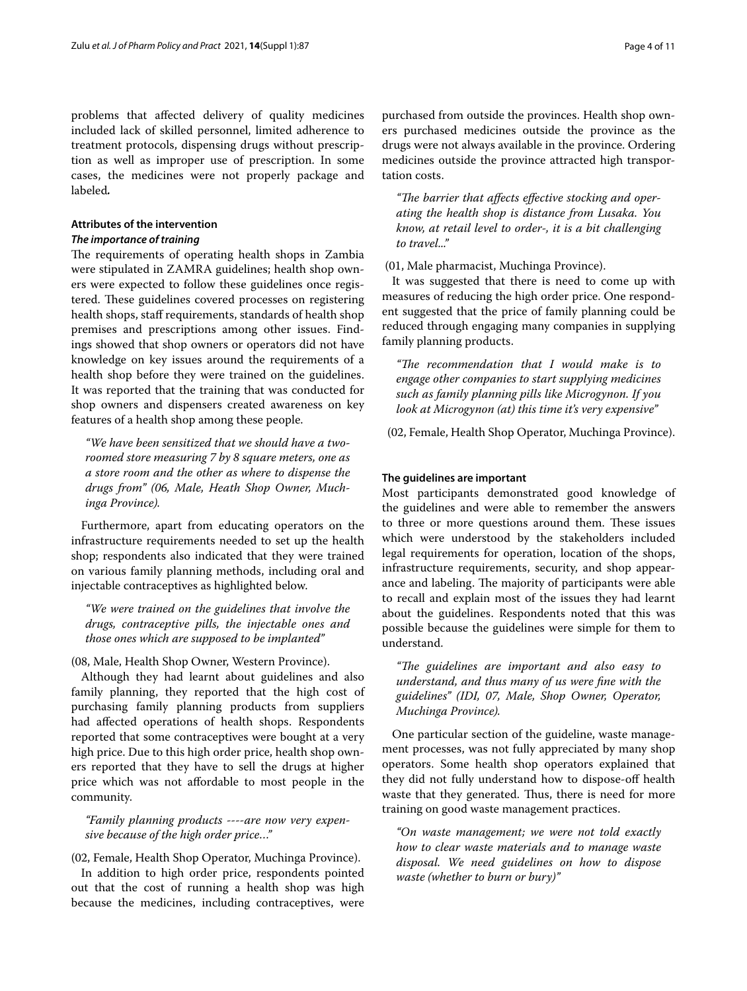problems that afected delivery of quality medicines included lack of skilled personnel, limited adherence to treatment protocols, dispensing drugs without prescription as well as improper use of prescription. In some cases, the medicines were not properly package and labeled*.*

# **Attributes of the intervention**

# *The importance of training*

The requirements of operating health shops in Zambia were stipulated in ZAMRA guidelines; health shop owners were expected to follow these guidelines once registered. These guidelines covered processes on registering health shops, staff requirements, standards of health shop premises and prescriptions among other issues. Findings showed that shop owners or operators did not have knowledge on key issues around the requirements of a health shop before they were trained on the guidelines. It was reported that the training that was conducted for shop owners and dispensers created awareness on key features of a health shop among these people.

*"We have been sensitized that we should have a tworoomed store measuring 7 by 8 square meters, one as a store room and the other as where to dispense the drugs from" (06, Male, Heath Shop Owner, Muchinga Province).*

Furthermore, apart from educating operators on the infrastructure requirements needed to set up the health shop; respondents also indicated that they were trained on various family planning methods, including oral and injectable contraceptives as highlighted below.

*"We were trained on the guidelines that involve the drugs, contraceptive pills, the injectable ones and those ones which are supposed to be implanted"*

# (08, Male, Health Shop Owner, Western Province).

Although they had learnt about guidelines and also family planning, they reported that the high cost of purchasing family planning products from suppliers had afected operations of health shops. Respondents reported that some contraceptives were bought at a very high price. Due to this high order price, health shop owners reported that they have to sell the drugs at higher price which was not afordable to most people in the community.

*"Family planning products ----are now very expensive because of the high order price…"*

# (02, Female, Health Shop Operator, Muchinga Province).

In addition to high order price, respondents pointed out that the cost of running a health shop was high because the medicines, including contraceptives, were purchased from outside the provinces. Health shop owners purchased medicines outside the province as the drugs were not always available in the province. Ordering medicines outside the province attracted high transportation costs.

"The barrier that affects effective stocking and oper*ating the health shop is distance from Lusaka. You know, at retail level to order-, it is a bit challenging to travel..."*

(01, Male pharmacist, Muchinga Province).

It was suggested that there is need to come up with measures of reducing the high order price. One respondent suggested that the price of family planning could be reduced through engaging many companies in supplying family planning products.

"The recommendation that I would make is to *engage other companies to start supplying medicines such as family planning pills like Microgynon. If you look at Microgynon (at) this time it's very expensive"*

(02, Female, Health Shop Operator, Muchinga Province).

## **The guidelines are important**

Most participants demonstrated good knowledge of the guidelines and were able to remember the answers to three or more questions around them. These issues which were understood by the stakeholders included legal requirements for operation, location of the shops, infrastructure requirements, security, and shop appearance and labeling. The majority of participants were able to recall and explain most of the issues they had learnt about the guidelines. Respondents noted that this was possible because the guidelines were simple for them to understand.

*"Te guidelines are important and also easy to understand, and thus many of us were fne with the guidelines" (IDI, 07, Male, Shop Owner, Operator, Muchinga Province).*

One particular section of the guideline, waste management processes, was not fully appreciated by many shop operators. Some health shop operators explained that they did not fully understand how to dispose-of health waste that they generated. Thus, there is need for more training on good waste management practices.

*"On waste management; we were not told exactly how to clear waste materials and to manage waste disposal. We need guidelines on how to dispose waste (whether to burn or bury)"*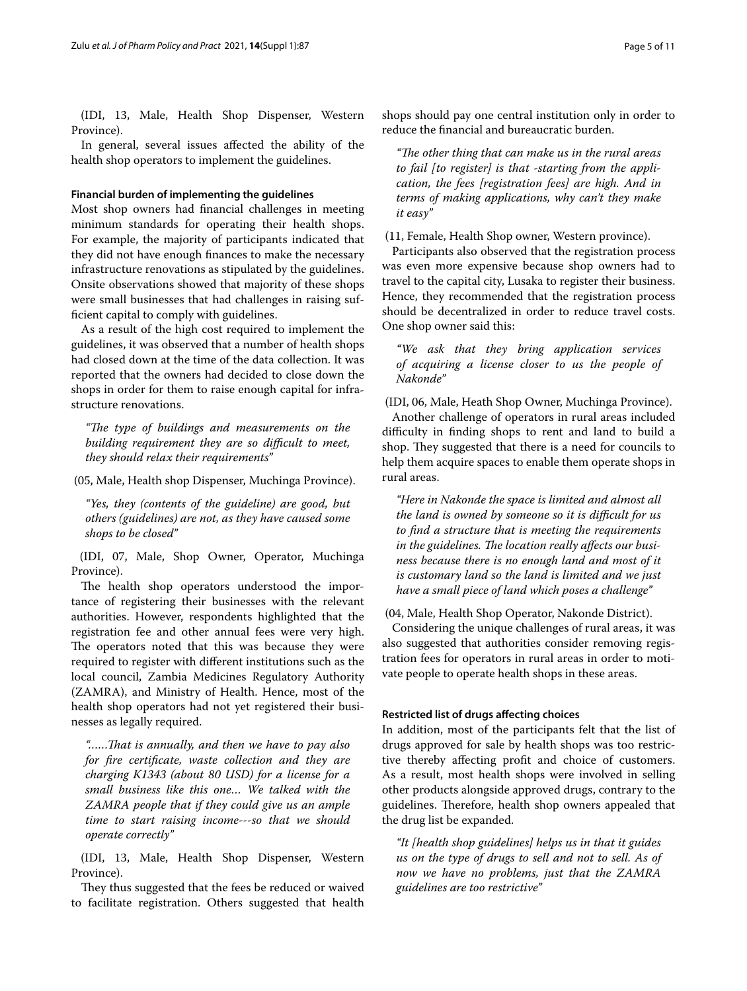(IDI, 13, Male, Health Shop Dispenser, Western Province).

In general, several issues afected the ability of the health shop operators to implement the guidelines.

## **Financial burden of implementing the guidelines**

Most shop owners had fnancial challenges in meeting minimum standards for operating their health shops. For example, the majority of participants indicated that they did not have enough fnances to make the necessary infrastructure renovations as stipulated by the guidelines. Onsite observations showed that majority of these shops were small businesses that had challenges in raising suffcient capital to comply with guidelines.

As a result of the high cost required to implement the guidelines, it was observed that a number of health shops had closed down at the time of the data collection. It was reported that the owners had decided to close down the shops in order for them to raise enough capital for infrastructure renovations.

*"Te type of buildings and measurements on the*  building requirement they are so difficult to meet, *they should relax their requirements"*

(05, Male, Health shop Dispenser, Muchinga Province).

*"Yes, they (contents of the guideline) are good, but others (guidelines) are not, as they have caused some shops to be closed"*

 (IDI, 07, Male, Shop Owner, Operator, Muchinga Province).

The health shop operators understood the importance of registering their businesses with the relevant authorities. However, respondents highlighted that the registration fee and other annual fees were very high. The operators noted that this was because they were required to register with diferent institutions such as the local council, Zambia Medicines Regulatory Authority (ZAMRA), and Ministry of Health. Hence, most of the health shop operators had not yet registered their businesses as legally required.

*"……Tat is annually, and then we have to pay also for fre certifcate, waste collection and they are charging K1343 (about 80 USD) for a license for a small business like this one… We talked with the ZAMRA people that if they could give us an ample time to start raising income---so that we should operate correctly"*

 (IDI, 13, Male, Health Shop Dispenser, Western Province).

They thus suggested that the fees be reduced or waived to facilitate registration. Others suggested that health

shops should pay one central institution only in order to reduce the fnancial and bureaucratic burden.

*"Te other thing that can make us in the rural areas to fail [to register] is that -starting from the application, the fees [registration fees] are high. And in terms of making applications, why can't they make it easy"*

(11, Female, Health Shop owner, Western province).

Participants also observed that the registration process was even more expensive because shop owners had to travel to the capital city, Lusaka to register their business. Hence, they recommended that the registration process should be decentralized in order to reduce travel costs. One shop owner said this:

*"We ask that they bring application services of acquiring a license closer to us the people of Nakonde"*

(IDI, 06, Male, Heath Shop Owner, Muchinga Province).

Another challenge of operators in rural areas included difculty in fnding shops to rent and land to build a shop. They suggested that there is a need for councils to help them acquire spaces to enable them operate shops in rural areas.

*"Here in Nakonde the space is limited and almost all the land is owned by someone so it is difcult for us to fnd a structure that is meeting the requirements*  in the guidelines. The location really affects our busi*ness because there is no enough land and most of it is customary land so the land is limited and we just have a small piece of land which poses a challenge"*

(04, Male, Health Shop Operator, Nakonde District).

Considering the unique challenges of rural areas, it was also suggested that authorities consider removing registration fees for operators in rural areas in order to motivate people to operate health shops in these areas.

## **Restricted list of drugs afecting choices**

In addition, most of the participants felt that the list of drugs approved for sale by health shops was too restrictive thereby afecting proft and choice of customers. As a result, most health shops were involved in selling other products alongside approved drugs, contrary to the guidelines. Therefore, health shop owners appealed that the drug list be expanded.

*"It [health shop guidelines] helps us in that it guides us on the type of drugs to sell and not to sell. As of now we have no problems, just that the ZAMRA guidelines are too restrictive"*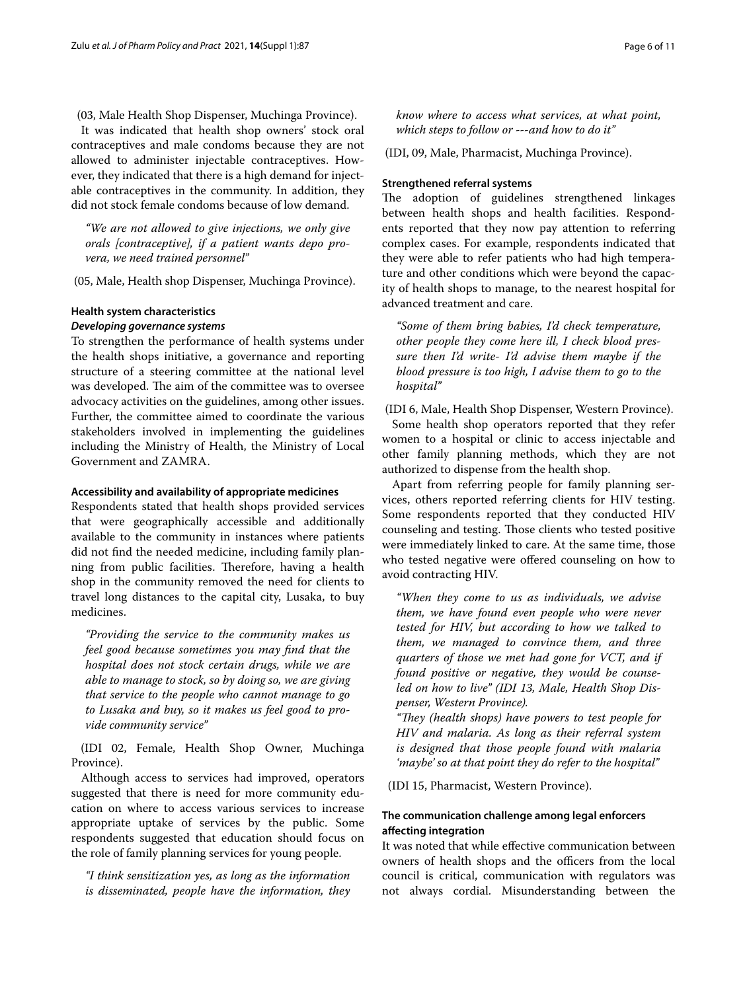(03, Male Health Shop Dispenser, Muchinga Province).

It was indicated that health shop owners' stock oral contraceptives and male condoms because they are not allowed to administer injectable contraceptives. However, they indicated that there is a high demand for injectable contraceptives in the community. In addition, they did not stock female condoms because of low demand.

*"We are not allowed to give injections, we only give orals [contraceptive], if a patient wants depo provera, we need trained personnel"*

(05, Male, Health shop Dispenser, Muchinga Province).

# **Health system characteristics**

# *Developing governance systems*

To strengthen the performance of health systems under the health shops initiative, a governance and reporting structure of a steering committee at the national level was developed. The aim of the committee was to oversee advocacy activities on the guidelines, among other issues. Further, the committee aimed to coordinate the various stakeholders involved in implementing the guidelines including the Ministry of Health, the Ministry of Local Government and ZAMRA.

# **Accessibility and availability of appropriate medicines**

Respondents stated that health shops provided services that were geographically accessible and additionally available to the community in instances where patients did not fnd the needed medicine, including family planning from public facilities. Therefore, having a health shop in the community removed the need for clients to travel long distances to the capital city, Lusaka, to buy medicines.

*"Providing the service to the community makes us feel good because sometimes you may fnd that the hospital does not stock certain drugs, while we are able to manage to stock, so by doing so, we are giving that service to the people who cannot manage to go to Lusaka and buy, so it makes us feel good to provide community service"*

 (IDI 02, Female, Health Shop Owner, Muchinga Province).

Although access to services had improved, operators suggested that there is need for more community education on where to access various services to increase appropriate uptake of services by the public. Some respondents suggested that education should focus on the role of family planning services for young people.

*"I think sensitization yes, as long as the information is disseminated, people have the information, they* 

*know where to access what services, at what point, which steps to follow or ---and how to do it"*

(IDI, 09, Male, Pharmacist, Muchinga Province).

# **Strengthened referral systems**

The adoption of guidelines strengthened linkages between health shops and health facilities. Respondents reported that they now pay attention to referring complex cases. For example, respondents indicated that they were able to refer patients who had high temperature and other conditions which were beyond the capacity of health shops to manage, to the nearest hospital for advanced treatment and care.

*"Some of them bring babies, I'd check temperature, other people they come here ill, I check blood pressure then I'd write- I'd advise them maybe if the blood pressure is too high, I advise them to go to the hospital"*

(IDI 6, Male, Health Shop Dispenser, Western Province).

Some health shop operators reported that they refer women to a hospital or clinic to access injectable and other family planning methods, which they are not authorized to dispense from the health shop.

Apart from referring people for family planning services, others reported referring clients for HIV testing. Some respondents reported that they conducted HIV counseling and testing. Those clients who tested positive were immediately linked to care. At the same time, those who tested negative were offered counseling on how to avoid contracting HIV.

*"When they come to us as individuals, we advise them, we have found even people who were never tested for HIV, but according to how we talked to them, we managed to convince them, and three quarters of those we met had gone for VCT, and if found positive or negative, they would be counseled on how to live" (IDI 13, Male, Health Shop Dispenser, Western Province).*

"They (health shops) have powers to test people for *HIV and malaria. As long as their referral system is designed that those people found with malaria 'maybe' so at that point they do refer to the hospital"*

(IDI 15, Pharmacist, Western Province).

# **The communication challenge among legal enforcers afecting integration**

It was noted that while efective communication between owners of health shops and the officers from the local council is critical, communication with regulators was not always cordial. Misunderstanding between the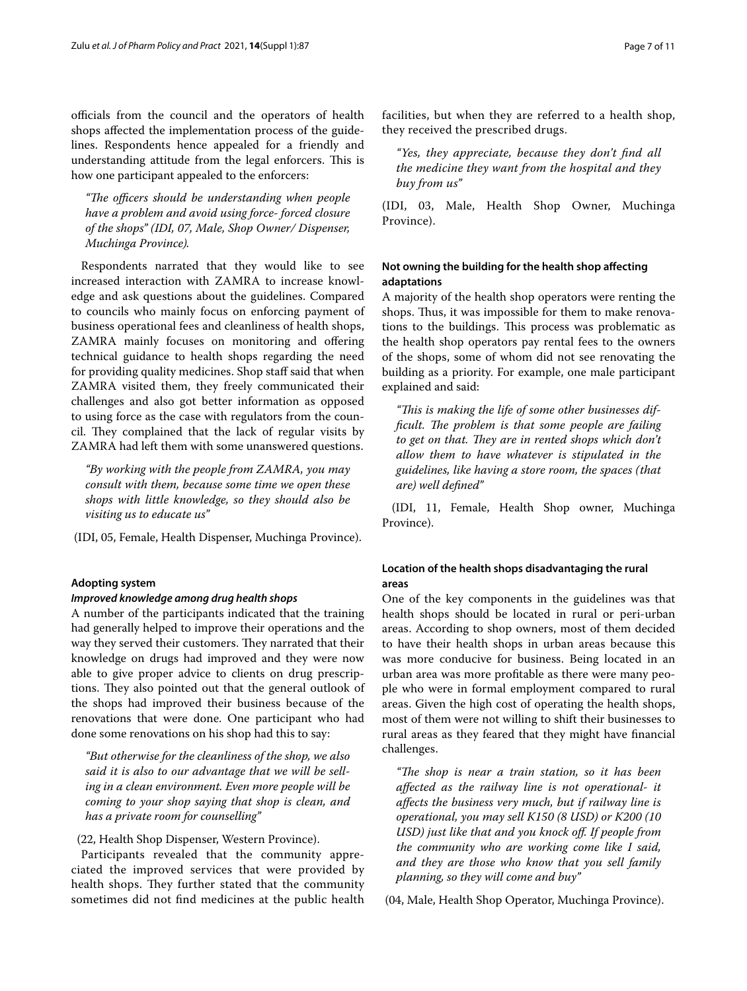officials from the council and the operators of health shops afected the implementation process of the guidelines. Respondents hence appealed for a friendly and understanding attitude from the legal enforcers. This is how one participant appealed to the enforcers:

"The officers should be understanding when people *have a problem and avoid using force- forced closure of the shops" (IDI, 07, Male, Shop Owner/ Dispenser, Muchinga Province).*

Respondents narrated that they would like to see increased interaction with ZAMRA to increase knowledge and ask questions about the guidelines. Compared to councils who mainly focus on enforcing payment of business operational fees and cleanliness of health shops, ZAMRA mainly focuses on monitoring and ofering technical guidance to health shops regarding the need for providing quality medicines. Shop staff said that when ZAMRA visited them, they freely communicated their challenges and also got better information as opposed to using force as the case with regulators from the council. They complained that the lack of regular visits by ZAMRA had left them with some unanswered questions.

*"By working with the people from ZAMRA, you may consult with them, because some time we open these shops with little knowledge, so they should also be visiting us to educate us"*

(IDI, 05, Female, Health Dispenser, Muchinga Province).

# **Adopting system**

# *Improved knowledge among drug health shops*

A number of the participants indicated that the training had generally helped to improve their operations and the way they served their customers. They narrated that their knowledge on drugs had improved and they were now able to give proper advice to clients on drug prescriptions. They also pointed out that the general outlook of the shops had improved their business because of the renovations that were done. One participant who had done some renovations on his shop had this to say:

*"But otherwise for the cleanliness of the shop, we also said it is also to our advantage that we will be selling in a clean environment. Even more people will be coming to your shop saying that shop is clean, and has a private room for counselling"*

# (22, Health Shop Dispenser, Western Province).

Participants revealed that the community appreciated the improved services that were provided by health shops. They further stated that the community sometimes did not fnd medicines at the public health facilities, but when they are referred to a health shop, they received the prescribed drugs.

*"Yes, they appreciate, because they don't fnd all the medicine they want from the hospital and they buy from us"*

(IDI, 03, Male, Health Shop Owner, Muchinga Province).

# **Not owning the building for the health shop afecting adaptations**

A majority of the health shop operators were renting the shops. Thus, it was impossible for them to make renovations to the buildings. This process was problematic as the health shop operators pay rental fees to the owners of the shops, some of whom did not see renovating the building as a priority. For example, one male participant explained and said:

"This is making the life of some other businesses dif*ficult. The problem is that some people are failing* to get on that. They are in rented shops which don't *allow them to have whatever is stipulated in the guidelines, like having a store room, the spaces (that are) well defned"*

 (IDI, 11, Female, Health Shop owner, Muchinga Province).

# **Location of the health shops disadvantaging the rural areas**

One of the key components in the guidelines was that health shops should be located in rural or peri-urban areas. According to shop owners, most of them decided to have their health shops in urban areas because this was more conducive for business. Being located in an urban area was more proftable as there were many people who were in formal employment compared to rural areas. Given the high cost of operating the health shops, most of them were not willing to shift their businesses to rural areas as they feared that they might have fnancial challenges.

*"Te shop is near a train station, so it has been afected as the railway line is not operational- it afects the business very much, but if railway line is operational, you may sell K150 (8 USD) or K200 (10 USD) just like that and you knock of. If people from the community who are working come like I said, and they are those who know that you sell family planning, so they will come and buy"*

(04, Male, Health Shop Operator, Muchinga Province).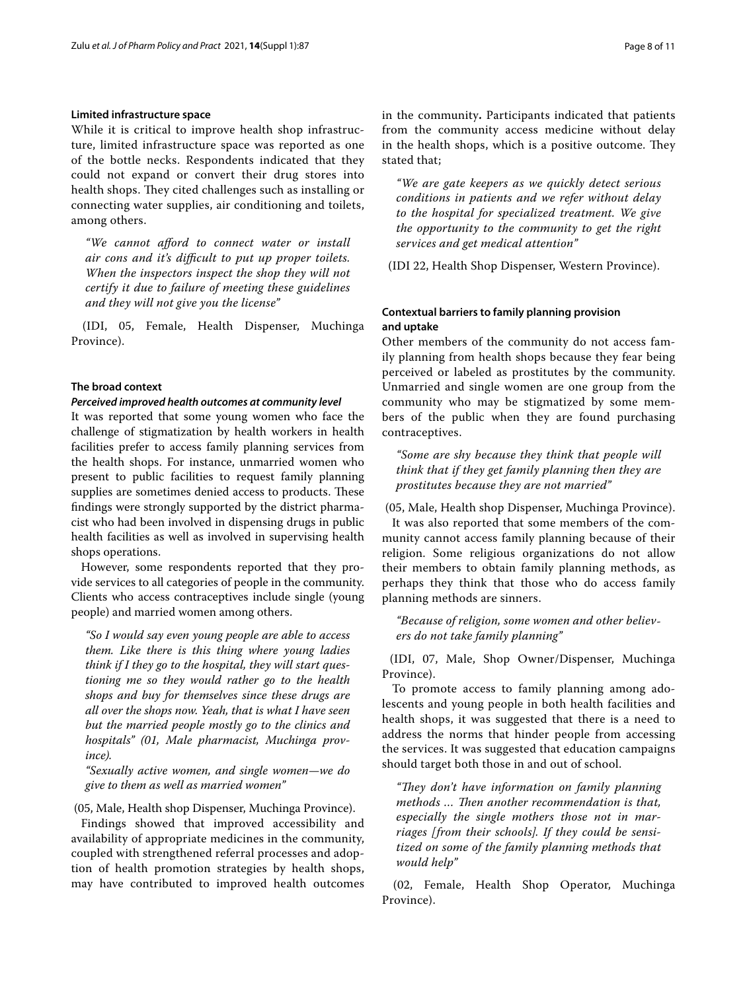## **Limited infrastructure space**

While it is critical to improve health shop infrastructure, limited infrastructure space was reported as one of the bottle necks. Respondents indicated that they could not expand or convert their drug stores into health shops. They cited challenges such as installing or connecting water supplies, air conditioning and toilets, among others.

*"We cannot aford to connect water or install air cons and it's difcult to put up proper toilets. When the inspectors inspect the shop they will not certify it due to failure of meeting these guidelines and they will not give you the license"*

 (IDI, 05, Female, Health Dispenser, Muchinga Province).

# **The broad context**

# *Perceived improved health outcomes at community level*

It was reported that some young women who face the challenge of stigmatization by health workers in health facilities prefer to access family planning services from the health shops. For instance, unmarried women who present to public facilities to request family planning supplies are sometimes denied access to products. These fndings were strongly supported by the district pharmacist who had been involved in dispensing drugs in public health facilities as well as involved in supervising health shops operations.

However, some respondents reported that they provide services to all categories of people in the community. Clients who access contraceptives include single (young people) and married women among others.

*"So I would say even young people are able to access them. Like there is this thing where young ladies think if I they go to the hospital, they will start questioning me so they would rather go to the health shops and buy for themselves since these drugs are all over the shops now. Yeah, that is what I have seen but the married people mostly go to the clinics and hospitals" (01, Male pharmacist, Muchinga province).*

*"Sexually active women, and single women—we do give to them as well as married women"*

(05, Male, Health shop Dispenser, Muchinga Province).

Findings showed that improved accessibility and availability of appropriate medicines in the community, coupled with strengthened referral processes and adoption of health promotion strategies by health shops, may have contributed to improved health outcomes in the community**.** Participants indicated that patients from the community access medicine without delay in the health shops, which is a positive outcome. They stated that;

*"We are gate keepers as we quickly detect serious conditions in patients and we refer without delay to the hospital for specialized treatment. We give the opportunity to the community to get the right services and get medical attention"*

(IDI 22, Health Shop Dispenser, Western Province).

# **Contextual barriers to family planning provision and uptake**

Other members of the community do not access family planning from health shops because they fear being perceived or labeled as prostitutes by the community. Unmarried and single women are one group from the community who may be stigmatized by some members of the public when they are found purchasing contraceptives.

*"Some are shy because they think that people will think that if they get family planning then they are prostitutes because they are not married"* 

(05, Male, Health shop Dispenser, Muchinga Province).

It was also reported that some members of the community cannot access family planning because of their religion. Some religious organizations do not allow their members to obtain family planning methods, as perhaps they think that those who do access family planning methods are sinners.

*"Because of religion, some women and other believers do not take family planning"*

 (IDI, 07, Male, Shop Owner/Dispenser, Muchinga Province).

To promote access to family planning among adolescents and young people in both health facilities and health shops, it was suggested that there is a need to address the norms that hinder people from accessing the services. It was suggested that education campaigns should target both those in and out of school.

"They don't have information on family planning *methods* ... Then another recommendation is that, *especially the single mothers those not in marriages [from their schools]. If they could be sensitized on some of the family planning methods that would help"*

 (02, Female, Health Shop Operator, Muchinga Province).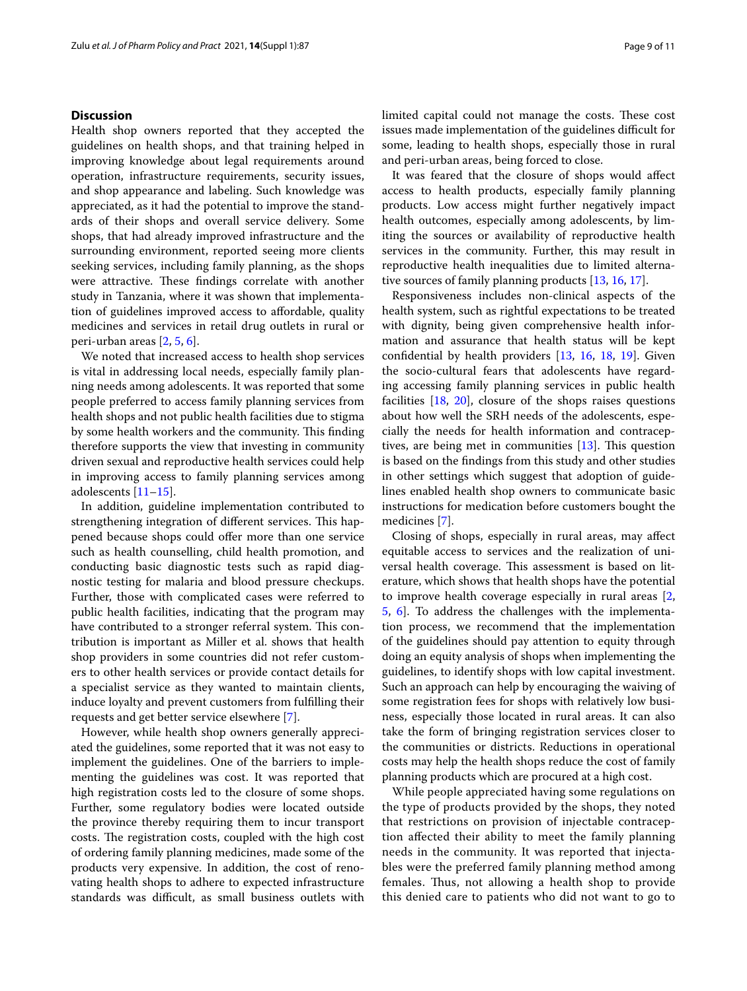# **Discussion**

Health shop owners reported that they accepted the guidelines on health shops, and that training helped in improving knowledge about legal requirements around operation, infrastructure requirements, security issues, and shop appearance and labeling. Such knowledge was appreciated, as it had the potential to improve the standards of their shops and overall service delivery. Some shops, that had already improved infrastructure and the surrounding environment, reported seeing more clients seeking services, including family planning, as the shops were attractive. These findings correlate with another study in Tanzania, where it was shown that implementation of guidelines improved access to afordable, quality medicines and services in retail drug outlets in rural or peri-urban areas [[2,](#page-9-1) [5](#page-9-4), [6\]](#page-9-5).

We noted that increased access to health shop services is vital in addressing local needs, especially family planning needs among adolescents. It was reported that some people preferred to access family planning services from health shops and not public health facilities due to stigma by some health workers and the community. This finding therefore supports the view that investing in community driven sexual and reproductive health services could help in improving access to family planning services among adolescents [\[11](#page-10-0)[–15\]](#page-10-1).

In addition, guideline implementation contributed to strengthening integration of different services. This happened because shops could offer more than one service such as health counselling, child health promotion, and conducting basic diagnostic tests such as rapid diagnostic testing for malaria and blood pressure checkups. Further, those with complicated cases were referred to public health facilities, indicating that the program may have contributed to a stronger referral system. This contribution is important as Miller et al. shows that health shop providers in some countries did not refer customers to other health services or provide contact details for a specialist service as they wanted to maintain clients, induce loyalty and prevent customers from fulflling their requests and get better service elsewhere [[7\]](#page-9-6).

However, while health shop owners generally appreciated the guidelines, some reported that it was not easy to implement the guidelines. One of the barriers to implementing the guidelines was cost. It was reported that high registration costs led to the closure of some shops. Further, some regulatory bodies were located outside the province thereby requiring them to incur transport costs. The registration costs, coupled with the high cost of ordering family planning medicines, made some of the products very expensive. In addition, the cost of renovating health shops to adhere to expected infrastructure standards was difficult, as small business outlets with limited capital could not manage the costs. These cost issues made implementation of the guidelines difficult for some, leading to health shops, especially those in rural and peri-urban areas, being forced to close.

It was feared that the closure of shops would afect access to health products, especially family planning products. Low access might further negatively impact health outcomes, especially among adolescents, by limiting the sources or availability of reproductive health services in the community. Further, this may result in reproductive health inequalities due to limited alternative sources of family planning products [\[13](#page-10-2), [16,](#page-10-3) [17\]](#page-10-4).

Responsiveness includes non-clinical aspects of the health system, such as rightful expectations to be treated with dignity, being given comprehensive health information and assurance that health status will be kept confdential by health providers [\[13](#page-10-2), [16](#page-10-3), [18,](#page-10-5) [19\]](#page-10-6). Given the socio-cultural fears that adolescents have regarding accessing family planning services in public health facilities [\[18,](#page-10-5) [20](#page-10-7)], closure of the shops raises questions about how well the SRH needs of the adolescents, especially the needs for health information and contraceptives, are being met in communities  $[13]$  $[13]$ . This question is based on the fndings from this study and other studies in other settings which suggest that adoption of guidelines enabled health shop owners to communicate basic instructions for medication before customers bought the medicines [[7\]](#page-9-6).

Closing of shops, especially in rural areas, may afect equitable access to services and the realization of universal health coverage. This assessment is based on literature, which shows that health shops have the potential to improve health coverage especially in rural areas [\[2](#page-9-1), [5,](#page-9-4) [6](#page-9-5)]. To address the challenges with the implementation process, we recommend that the implementation of the guidelines should pay attention to equity through doing an equity analysis of shops when implementing the guidelines, to identify shops with low capital investment. Such an approach can help by encouraging the waiving of some registration fees for shops with relatively low business, especially those located in rural areas. It can also take the form of bringing registration services closer to the communities or districts. Reductions in operational costs may help the health shops reduce the cost of family planning products which are procured at a high cost.

While people appreciated having some regulations on the type of products provided by the shops, they noted that restrictions on provision of injectable contraception afected their ability to meet the family planning needs in the community. It was reported that injectables were the preferred family planning method among females. Thus, not allowing a health shop to provide this denied care to patients who did not want to go to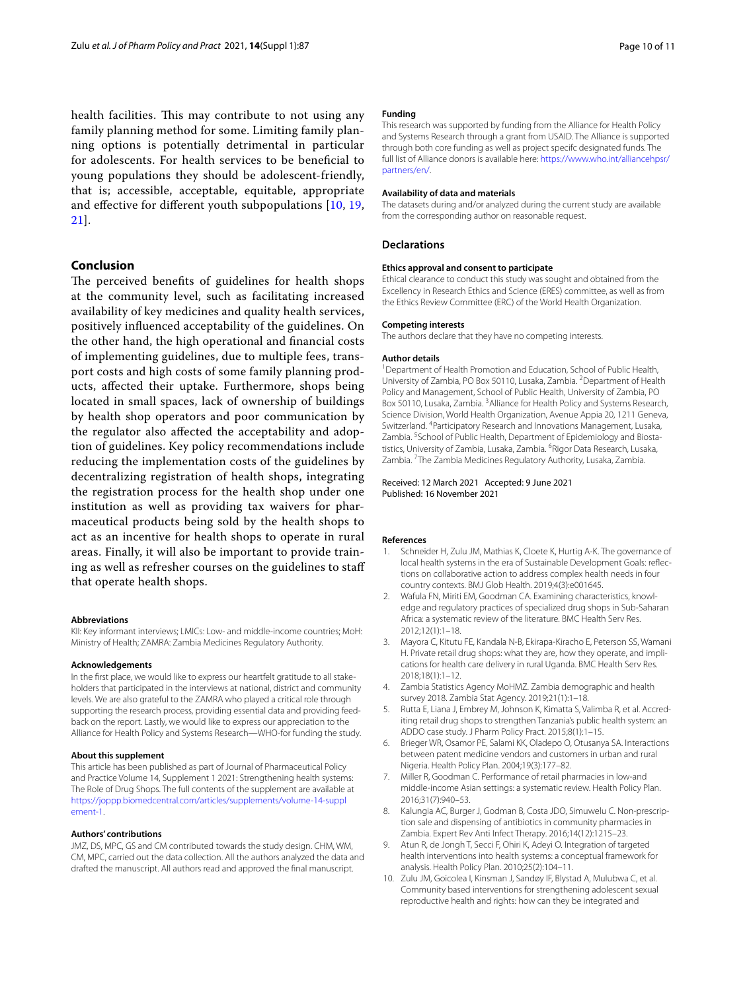health facilities. This may contribute to not using any family planning method for some. Limiting family planning options is potentially detrimental in particular for adolescents. For health services to be benefcial to young populations they should be adolescent-friendly, that is; accessible, acceptable, equitable, appropriate and efective for diferent youth subpopulations [\[10](#page-9-9), [19](#page-10-6), [21\]](#page-10-8).

# **Conclusion**

The perceived benefits of guidelines for health shops at the community level, such as facilitating increased availability of key medicines and quality health services, positively infuenced acceptability of the guidelines. On the other hand, the high operational and fnancial costs of implementing guidelines, due to multiple fees, transport costs and high costs of some family planning products, afected their uptake. Furthermore, shops being located in small spaces, lack of ownership of buildings by health shop operators and poor communication by the regulator also afected the acceptability and adoption of guidelines. Key policy recommendations include reducing the implementation costs of the guidelines by decentralizing registration of health shops, integrating the registration process for the health shop under one institution as well as providing tax waivers for pharmaceutical products being sold by the health shops to act as an incentive for health shops to operate in rural areas. Finally, it will also be important to provide training as well as refresher courses on the guidelines to staf that operate health shops.

### **Abbreviations**

KII: Key informant interviews; LMICs: Low- and middle-income countries; MoH: Ministry of Health; ZAMRA: Zambia Medicines Regulatory Authority.

#### **Acknowledgements**

In the frst place, we would like to express our heartfelt gratitude to all stakeholders that participated in the interviews at national, district and community levels. We are also grateful to the ZAMRA who played a critical role through supporting the research process, providing essential data and providing feedback on the report. Lastly, we would like to express our appreciation to the Alliance for Health Policy and Systems Research—WHO-for funding the study.

## **About this supplement**

This article has been published as part of Journal of Pharmaceutical Policy and Practice Volume 14, Supplement 1 2021: Strengthening health systems: The Role of Drug Shops. The full contents of the supplement are available at [https://joppp.biomedcentral.com/articles/supplements/volume-14-suppl](https://joppp.biomedcentral.com/articles/supplements/volume-14-supplement-1) [ement-1](https://joppp.biomedcentral.com/articles/supplements/volume-14-supplement-1).

#### **Authors' contributions**

JMZ, DS, MPC, GS and CM contributed towards the study design. CHM, WM, CM, MPC, carried out the data collection. All the authors analyzed the data and drafted the manuscript. All authors read and approved the fnal manuscript.

## **Funding**

This research was supported by funding from the Alliance for Health Policy and Systems Research through a grant from USAID. The Alliance is supported through both core funding as well as project specifc designated funds. The full list of Alliance donors is available here: [https://www.who.int/alliancehpsr/](https://www.who.int/alliancehpsr/partners/en/) [partners/en/.](https://www.who.int/alliancehpsr/partners/en/)

#### **Availability of data and materials**

The datasets during and/or analyzed during the current study are available from the corresponding author on reasonable request.

# **Declarations**

## **Ethics approval and consent to participate**

Ethical clearance to conduct this study was sought and obtained from the Excellency in Research Ethics and Science (ERES) committee, as well as from the Ethics Review Committee (ERC) of the World Health Organization.

## **Competing interests**

The authors declare that they have no competing interests.

#### **Author details**

<sup>1</sup> Department of Health Promotion and Education, School of Public Health, University of Zambia, PO Box 50110, Lusaka, Zambia. <sup>2</sup> Department of Health Policy and Management, School of Public Health, University of Zambia, PO Box 50110, Lusaka, Zambia. <sup>3</sup> Alliance for Health Policy and Systems Research, Science Division, World Health Organization, Avenue Appia 20, 1211 Geneva, Switzerland. 4 Participatory Research and Innovations Management, Lusaka, Zambia. <sup>5</sup> School of Public Health, Department of Epidemiology and Biostatistics, University of Zambia, Lusaka, Zambia. <sup>6</sup>Rigor Data Research, Lusaka, Zambia. <sup>7</sup>The Zambia Medicines Regulatory Authority, Lusaka, Zambia.

## Received: 12 March 2021 Accepted: 9 June 2021 Published: 16 November 2021

### **References**

- <span id="page-9-0"></span>Schneider H, Zulu JM, Mathias K, Cloete K, Hurtig A-K. The governance of local health systems in the era of Sustainable Development Goals: refections on collaborative action to address complex health needs in four country contexts. BMJ Glob Health. 2019;4(3):e001645.
- <span id="page-9-1"></span>2. Wafula FN, Miriti EM, Goodman CA. Examining characteristics, knowledge and regulatory practices of specialized drug shops in Sub-Saharan Africa: a systematic review of the literature. BMC Health Serv Res. 2012;12(1):1–18.
- <span id="page-9-2"></span>3. Mayora C, Kitutu FE, Kandala N-B, Ekirapa-Kiracho E, Peterson SS, Wamani H. Private retail drug shops: what they are, how they operate, and implications for health care delivery in rural Uganda. BMC Health Serv Res. 2018;18(1):1–12.
- <span id="page-9-3"></span>4. Zambia Statistics Agency MoHMZ. Zambia demographic and health survey 2018. Zambia Stat Agency. 2019;21(1):1–18.
- <span id="page-9-4"></span>5. Rutta E, Liana J, Embrey M, Johnson K, Kimatta S, Valimba R, et al. Accrediting retail drug shops to strengthen Tanzania's public health system: an ADDO case study. J Pharm Policy Pract. 2015;8(1):1–15.
- <span id="page-9-5"></span>6. Brieger WR, Osamor PE, Salami KK, Oladepo O, Otusanya SA. Interactions between patent medicine vendors and customers in urban and rural Nigeria. Health Policy Plan. 2004;19(3):177–82.
- <span id="page-9-6"></span>7. Miller R, Goodman C. Performance of retail pharmacies in low-and middle-income Asian settings: a systematic review. Health Policy Plan. 2016;31(7):940–53.
- <span id="page-9-7"></span>8. Kalungia AC, Burger J, Godman B, Costa JDO, Simuwelu C. Non-prescription sale and dispensing of antibiotics in community pharmacies in Zambia. Expert Rev Anti Infect Therapy. 2016;14(12):1215–23.
- <span id="page-9-8"></span>9. Atun R, de Jongh T, Secci F, Ohiri K, Adeyi O. Integration of targeted health interventions into health systems: a conceptual framework for analysis. Health Policy Plan. 2010;25(2):104–11.
- <span id="page-9-9"></span>10. Zulu JM, Goicolea I, Kinsman J, Sandøy IF, Blystad A, Mulubwa C, et al. Community based interventions for strengthening adolescent sexual reproductive health and rights: how can they be integrated and